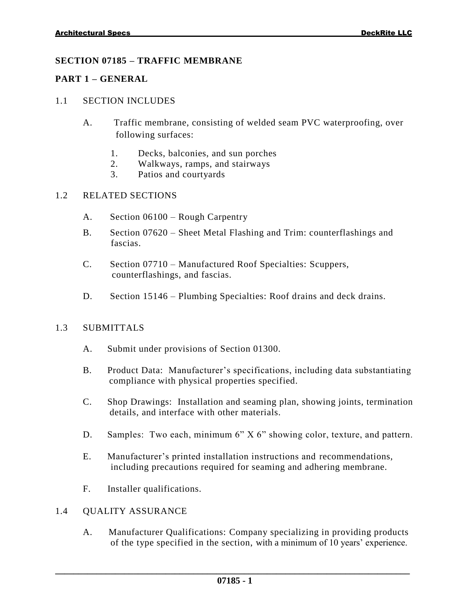# **SECTION 07185 – TRAFFIC MEMBRANE**

### **PART 1 – GENERAL**

### 1.1 SECTION INCLUDES

- A. Traffic membrane, consisting of welded seam PVC waterproofing, over following surfaces:
	- 1. Decks, balconies, and sun porches
	- 2. Walkways, ramps, and stairways
	- 3. Patios and courtyards

# 1.2 RELATED SECTIONS

- A. Section 06100 Rough Carpentry
- B. Section 07620 Sheet Metal Flashing and Trim: counterflashings and fascias.
- C. Section 07710 Manufactured Roof Specialties: Scuppers, c counterflashings, and fascias.
- D. Section 15146 Plumbing Specialties: Roof drains and deck drains.

# 1.3 SUBMITTALS

- A. Submit under provisions of Section 01300.
- B. Product Data: Manufacturer's specifications, including data substantiating compliance with physical properties specified.
- C. Shop Drawings: Installation and seaming plan, showing joints, termination details, and interface with other materials.
- D. Samples: Two each, minimum 6" X 6" showing color, texture, and pattern.
- E. Manufacturer's printed installation instructions and recommendations, including precautions required for seaming and adhering membrane.
- F. Installer qualifications.

# 1.4 QUALITY ASSURANCE

A. Manufacturer Qualifications: Company specializing in providing products of the type specified in the section, with a minimum of 10 years' experience.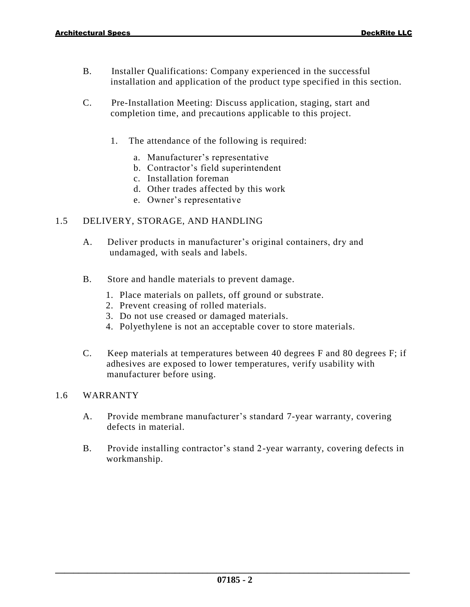- B. Installer Qualifications: Company experienced in the successful installation and application of the product type specified in this section.
- C. Pre-Installation Meeting: Discuss application, staging, start and completion time, and precautions applicable to this project.
	- 1. The attendance of the following is required:
		- a. Manufacturer's representative
		- b. Contractor's field superintendent
		- c. Installation foreman
		- d. Other trades affected by this work
		- e. Owner's representative

# 1.5 DELIVERY, STORAGE, AND HANDLING

- A. Deliver products in manufacturer's original containers, dry and undamaged, with seals and labels.
- B. Store and handle materials to prevent damage.
	- 1. Place materials on pallets, off ground or substrate.
	- 2. Prevent creasing of rolled materials.
	- 3. Do not use creased or damaged materials.
	- 4. Polyethylene is not an acceptable cover to store materials.
- C. Keep materials at temperatures between 40 degrees F and 80 degrees F; if adhesives are exposed to lower temperatures, verify usability with manufacturer before using.

#### 1.6 WARRANTY

- A. Provide membrane manufacturer's standard 7-year warranty, covering defects in material.
- B. Provide installing contractor's stand 2-year warranty, covering defects in workmanship.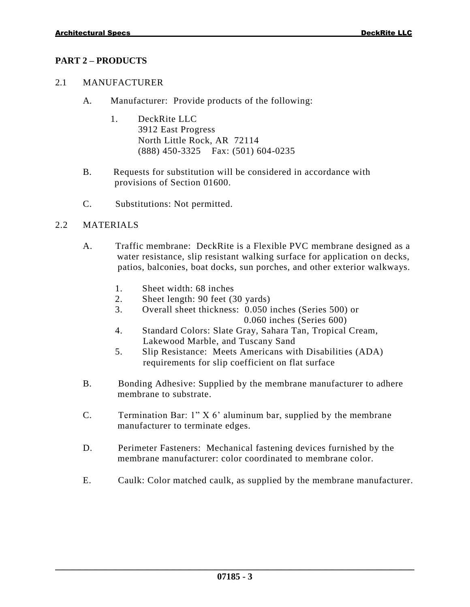# **PART 2 – PRODUCTS**

### 2.1 MANUFACTURER

- A. Manufacturer: Provide products of the following:
	- 1. DeckRite LLC 3912 East Progress North Little Rock, AR 72114 (888) 450-3325 Fax: (501) 604-0235
- B. Requests for substitution will be considered in accordance with p provisions of Section 01600.
- C. Substitutions: Not permitted.

#### 2.2 MATERIALS

- A. Traffic membrane: DeckRite is a Flexible PVC membrane designed as a water resistance, slip resistant walking surface for application on decks, patios, balconies, boat docks, sun porches, and other exterior walkways.
	- 1. Sheet width: 68 inches
	- 2. Sheet length: 90 feet (30 yards)
	- 3. Overall sheet thickness: 0.050 inches (Series 500) or 0 0.060 inches (Series 600)
	- 4. Standard Colors: Slate Gray, Sahara Tan, Tropical Cream, Lakewood Marble, and Tuscany Sand
	- 5. Slip Resistance: Meets Americans with Disabilities (ADA) requirements for slip coefficient on flat surface
- B. Bonding Adhesive: Supplied by the membrane manufacturer to adhere membrane to substrate.
- C. Termination Bar: 1" X 6' aluminum bar, supplied by the membrane manufacturer to terminate edges.
- D. Perimeter Fasteners: Mechanical fastening devices furnished by the membrane manufacturer: color coordinated to membrane color.
- E. Caulk: Color matched caulk, as supplied by the membrane manufacturer.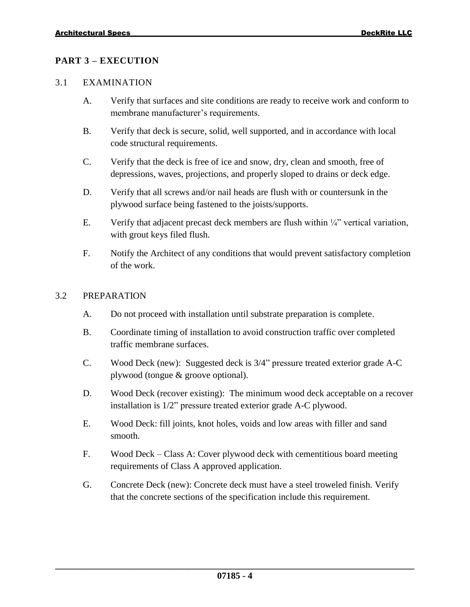# **PART 3 – EXECUTION**

#### 3.1 EXAMINATION

- A. Verify that surfaces and site conditions are ready to receive work and conform to membrane manufacturer's requirements.
- B. Verify that deck is secure, solid, well supported, and in accordance with local code structural requirements.
- C. Verify that the deck is free of ice and snow, dry, clean and smooth, free of depressions, waves, projections, and properly sloped to drains or deck edge.
- D. Verify that all screws and/or nail heads are flush with or countersunk in the plywood surface being fastened to the joists/supports.
- E. Verify that adjacent precast deck members are flush within  $\frac{1}{4}$ " vertical variation, with grout keys filed flush.
- F. Notify the Architect of any conditions that would prevent satisfactory completion of the work.

## 3.2 PREPARATION

- A. Do not proceed with installation until substrate preparation is complete.
- B. Coordinate timing of installation to avoid construction traffic over completed traffic membrane surfaces.
- C. Wood Deck (new): Suggested deck is 3/4" pressure treated exterior grade A-C plywood (tongue & groove optional).
- D. Wood Deck (recover existing): The minimum wood deck acceptable on a recover installation is 1/2" pressure treated exterior grade A-C plywood.
- E. Wood Deck: fill joints, knot holes, voids and low areas with filler and sand smooth.
- F. Wood Deck Class A: Cover plywood deck with cementitious board meeting requirements of Class A approved application.
- G. Concrete Deck (new): Concrete deck must have a steel troweled finish. Verify that the concrete sections of the specification include this requirement.